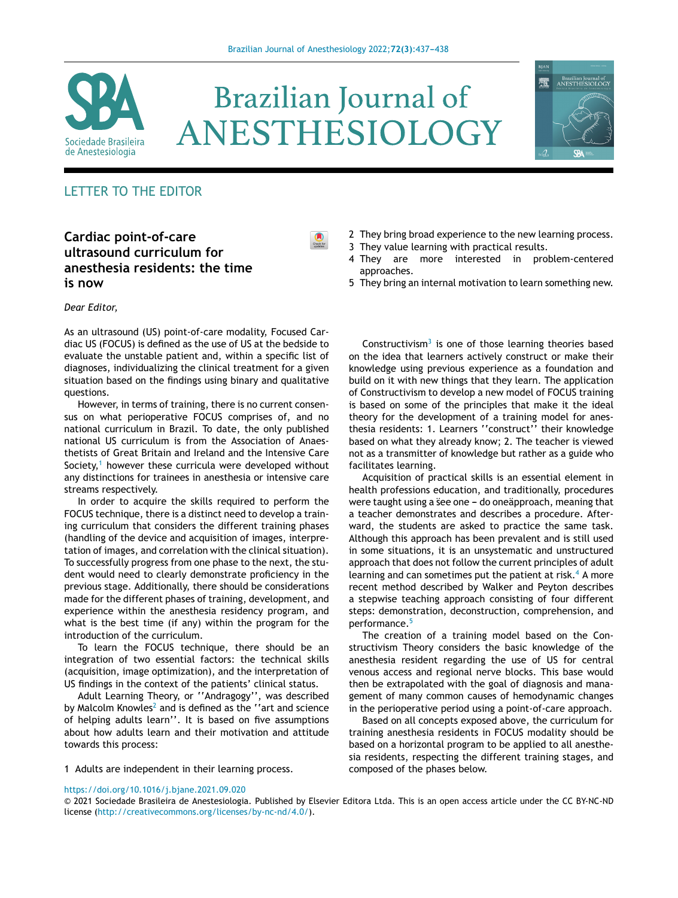

# **Brazilian Journal of** ANESTHESIOLOGY



# LETTER TO THE EDITOR

## **Cardiac point-of-care ultrasound curriculum for anesthesia residents: the time is now**

#### *Dear Editor,*

As an ultrasound (US) point-of-care modality, Focused Cardiac US (FOCUS) is defined as the use of US at the bedside to evaluate the unstable patient and, within a specific list of diagnoses, individualizing the clinical treatment for a given situation based on the findings using binary and qualitative questions.

However, in terms of training, there is no current consensus on what perioperative FOCUS comprises of, and no national curriculum in Brazil. To date, the only published national US curriculum is from the Association of Anaesthetists of Great Britain and Ireland and the Intensive Care Society, $1$  however these curricula were developed without any distinctions for trainees in anesthesia or intensive care streams respectively.

In order to acquire the skills required to perform the FOCUS technique, there is a distinct need to develop a training curriculum that considers the different training phases (handling of the device and acquisition of images, interpretation of images, and correlation with the clinical situation). To successfully progress from one phase to the next, the student would need to clearly demonstrate proficiency in the previous stage. Additionally, there should be considerations made for the different phases of training, development, and experience within the anesthesia residency program, and what is the best time (if any) within the program for the introduction of the curriculum.

To learn the FOCUS technique, there should be an integration of two essential factors: the technical skills (acquisition, image optimization), and the interpretation of US findings in the context of the patients' clinical status.

Adult Learning Theory, or ''Andragogy'', was described by M[a](#page-1-0)lcolm Knowles<sup>2</sup> and is defined as the "art and science of helping adults learn''. It is based on five assumptions about how adults learn and their motivation and attitude towards this process:

- 2 They bring broad experience to the new learning process.
- 3 They value learning with practical results.
- 4 They are more interested in problem-centered approaches.
- 5 They bring an internal motivation to learn something new.

Constructivism $3$  is one of those learning theories based on the idea that learners actively construct or make their knowledge using previous experience as a foundation and build on it with new things that they learn. The application of Constructivism to develop a new model of FOCUS training is based on some of the principles that make it the ideal theory for the development of a training model for anesthesia residents: 1. Learners ''construct'' their knowledge based on what they already know; 2. The teacher is viewed not as a transmitter of knowledge but rather as a guide who facilitates learning.

Acquisition of practical skills is an essential element in health professions education, and traditionally, procedures were taught using a see one - do oneapproach, meaning that a teacher demonstrates and describes a procedure. Afterward, the students are asked to practice the same task. Although this approach has been prevalent and is still used in some situations, it is an unsystematic and unstructured approach that does not follow the current principles of adult learning and can sometimes put the patient at risk.<sup>[4](#page-1-0)</sup> A more recent method described by Walker and Peyton describes a stepwise teaching approach consisting of four different steps: demonstration, deconstruction, comprehension, and performance.[5](#page-1-0)

The creation of a training model based on the Constructivism Theory considers the basic knowledge of the anesthesia resident regarding the use of US for central venous access and regional nerve blocks. This base would then be extrapolated with the goal of diagnosis and management of many common causes of hemodynamic changes in the perioperative period using a point-of-care approach.

Based on all concepts exposed above, the curriculum for training anesthesia residents in FOCUS modality should be based on a horizontal program to be applied to all anesthesia residents, respecting the different training stages, and composed of the phases below.

1 Adults are independent in their learning process.

#### <https://doi.org/10.1016/j.bjane.2021.09.020>

© 2021 Sociedade Brasileira de Anestesiologia. Published by Elsevier Editora Ltda. This is an open access article under the CC BY-NC-ND license (<http://creativecommons.org/licenses/by-nc-nd/4.0/>).